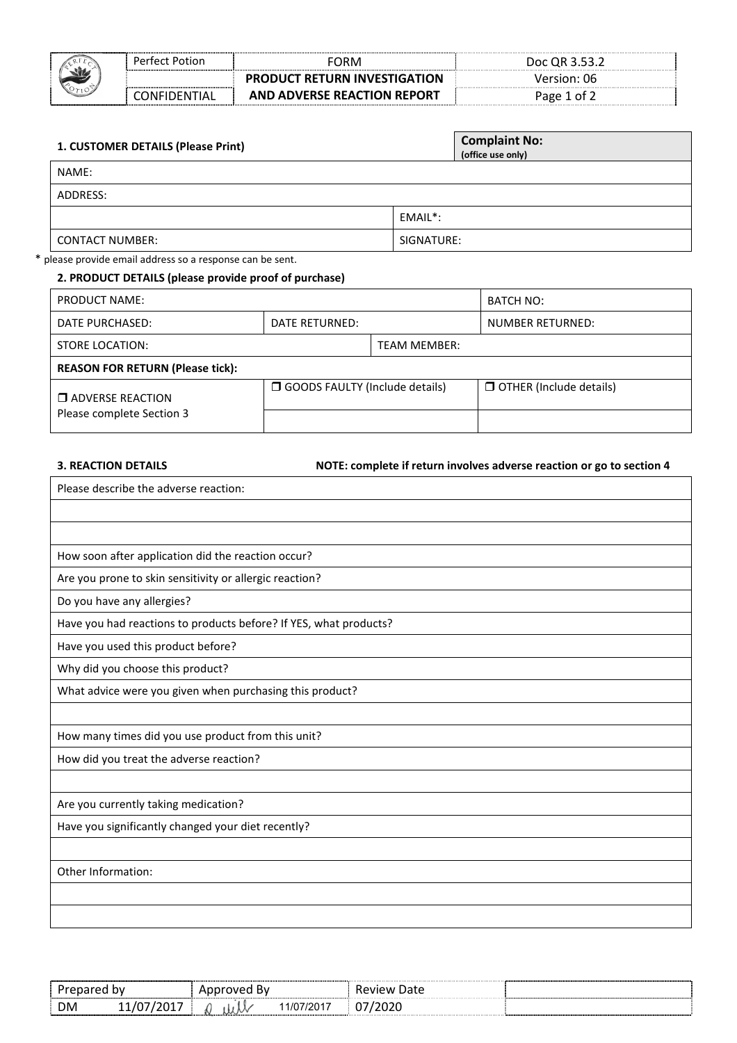|  | Perfect Potion | FORM                                | Doc QR 3.53.2 |
|--|----------------|-------------------------------------|---------------|
|  |                | <b>PRODUCT RETURN INVESTIGATION</b> | Version: 06   |
|  | ONFIDENTIAL    | AND ADVERSE REACTION REPORT         | Page 1 of ?   |

| 1. CUSTOMER DETAILS (Please Print) | <b>Complaint No:</b><br>(office use only) |
|------------------------------------|-------------------------------------------|
| NAME:                              |                                           |
| ADDRESS:                           |                                           |
|                                    | EMAIL*:                                   |
| <b>CONTACT NUMBER:</b>             | SIGNATURE:                                |

# \* please provide email address so a response can be sent.

# **2. PRODUCT DETAILS (please provide proof of purchase)**

| PRODUCT NAME:                           |                                         |  | BATCH NO:                      |  |
|-----------------------------------------|-----------------------------------------|--|--------------------------------|--|
| DATE PURCHASED:                         | DATE RETURNED:                          |  | NUMBER RETURNED:               |  |
| STORE LOCATION:                         | <b>TEAM MEMBER:</b>                     |  |                                |  |
| <b>REASON FOR RETURN (Please tick):</b> |                                         |  |                                |  |
| $\Box$ ADVERSE REACTION                 | <b>O</b> GOODS FAULTY (Include details) |  | $\Box$ OTHER (Include details) |  |
| Please complete Section 3               |                                         |  |                                |  |

#### **3. REACTION DETAILS NOTE: complete if return involves adverse reaction or go to section 4**

| Please describe the adverse reaction:                             |
|-------------------------------------------------------------------|
|                                                                   |
|                                                                   |
| How soon after application did the reaction occur?                |
| Are you prone to skin sensitivity or allergic reaction?           |
| Do you have any allergies?                                        |
| Have you had reactions to products before? If YES, what products? |
| Have you used this product before?                                |
| Why did you choose this product?                                  |
| What advice were you given when purchasing this product?          |
|                                                                   |
| How many times did you use product from this unit?                |
| How did you treat the adverse reaction?                           |
|                                                                   |
| Are you currently taking medication?                              |
| Have you significantly changed your diet recently?                |
|                                                                   |
| Other Information:                                                |
|                                                                   |
|                                                                   |
|                                                                   |

|                       | .,,<br>вv<br>. .                                 | w<br>      |  |
|-----------------------|--------------------------------------------------|------------|--|
| <b>DM</b><br>ັັ<br>-- | $\sqrt{2}$<br>$10^{1}$<br>$\cdot$ $\mathcal{N}'$ | .<br>.<br> |  |